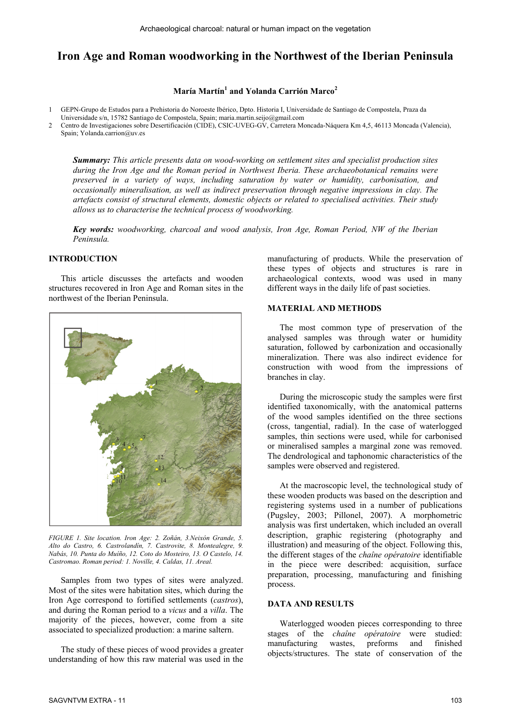# **Iron Age and Roman woodworking in the Northwest of the Iberian Peninsula**

## **María Martín1 and Yolanda Carrión Marco<sup>2</sup>**

1 GEPN-Grupo de Estudos para a Prehistoria do Noroeste Ibérico, Dpto. Historia I, Universidade de Santiago de Compostela, Praza da

Universidade s/n, 15782 Santiago de Compostela, Spain; maria.martin.seijo@gmail.com

2 Centro de Investigaciones sobre Desertificación (CIDE), CSIC-UVEG-GV, Carretera Moncada-Náquera Km 4,5, 46113 Moncada (Valencia), Spain; Yolanda.carrion@uv.es

*Summary: This article presents data on wood-working on settlement sites and specialist production sites during the Iron Age and the Roman period in Northwest Iberia. These archaeobotanical remains were preserved in a variety of ways, including saturation by water or humidity, carbonisation, and occasionally mineralisation, as well as indirect preservation through negative impressions in clay. The artefacts consist of structural elements, domestic objects or related to specialised activities. Their study allows us to characterise the technical process of woodworking.* 

*Key words: woodworking, charcoal and wood analysis, Iron Age, Roman Period, NW of the Iberian Peninsula.* 

## **INTRODUCTION**

This article discusses the artefacts and wooden structures recovered in Iron Age and Roman sites in the northwest of the Iberian Peninsula.



*FIGURE 1. Site location. Iron Age: 2. Zoñán, 3.Neixón Grande, 5. Alto do Castro, 6. Castrolandín, 7. Castrovite, 8. Montealegre, 9. Nabás, 10. Punta do Muíño, 12. Coto do Mosteiro, 13. O Castelo, 14. Castromao. Roman period: 1. Noville, 4. Caldas, 11. Areal.* 

Samples from two types of sites were analyzed. Most of the sites were habitation sites, which during the Iron Age correspond to fortified settlements (*castros*), and during the Roman period to a *vicus* and a *villa*. The majority of the pieces, however, come from a site associated to specialized production: a marine saltern.

The study of these pieces of wood provides a greater understanding of how this raw material was used in the manufacturing of products. While the preservation of these types of objects and structures is rare in archaeological contexts, wood was used in many different ways in the daily life of past societies.

#### **MATERIAL AND METHODS**

The most common type of preservation of the analysed samples was through water or humidity saturation, followed by carbonization and occasionally mineralization. There was also indirect evidence for construction with wood from the impressions of branches in clay.

During the microscopic study the samples were first identified taxonomically, with the anatomical patterns of the wood samples identified on the three sections (cross, tangential, radial). In the case of waterlogged samples, thin sections were used, while for carbonised or mineralised samples a marginal zone was removed. The dendrological and taphonomic characteristics of the samples were observed and registered.

At the macroscopic level, the technological study of these wooden products was based on the description and registering systems used in a number of publications (Pugsley, 2003; Pillonel, 2007). A morphometric analysis was first undertaken, which included an overall description, graphic registering (photography and illustration) and measuring of the object. Following this, the different stages of the *chaîne opératoire* identifiable in the piece were described: acquisition, surface preparation, processing, manufacturing and finishing process.

#### **DATA AND RESULTS**

Waterlogged wooden pieces corresponding to three stages of the *chaîne opératoire* were studied: manufacturing wastes, preforms and finished objects/structures. The state of conservation of the